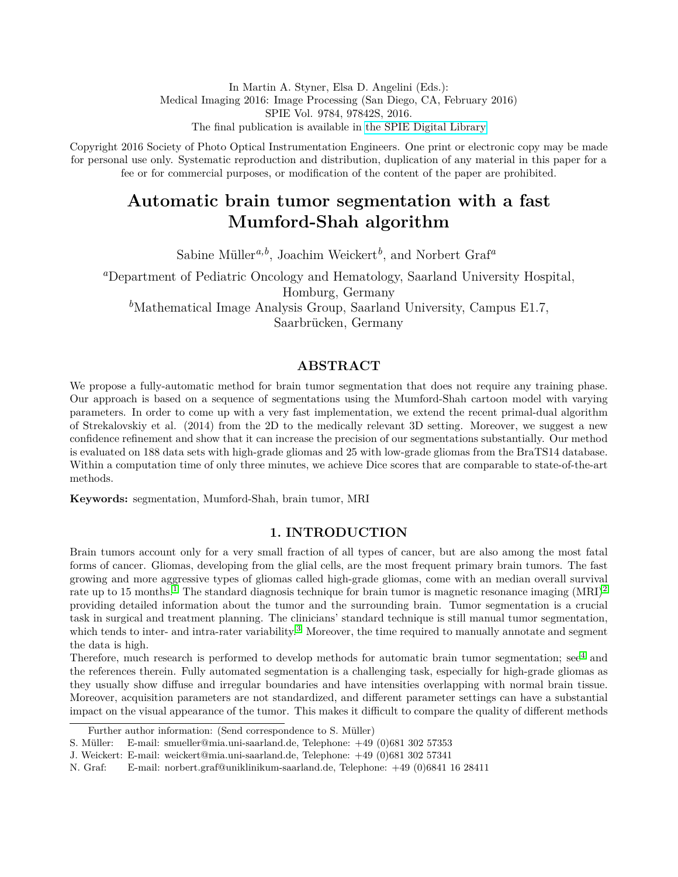In Martin A. Styner, Elsa D. Angelini (Eds.): Medical Imaging 2016: Image Processing (San Diego, CA, February 2016) SPIE Vol. 9784, 97842S, 2016. The final publication is available in [the SPIE Digital Library](http://dx.doi.org/10.1117/12.2214552)

Copyright 2016 Society of Photo Optical Instrumentation Engineers. One print or electronic copy may be made for personal use only. Systematic reproduction and distribution, duplication of any material in this paper for a fee or for commercial purposes, or modification of the content of the paper are prohibited.

# **Automatic brain tumor segmentation with a fast Mumford-Shah algorithm**

Sabine Müller<sup>*a*,*b*</sup>, Joachim Weickert<sup>*b*</sup>, and Norbert Graf<sup>*a*</sup>

*<sup>a</sup>*Department of Pediatric Oncology and Hematology, Saarland University Hospital, Homburg, Germany *<sup>b</sup>*Mathematical Image Analysis Group, Saarland University, Campus E1.7, Saarbrücken, Germany

# **ABSTRACT**

We propose a fully-automatic method for brain tumor segmentation that does not require any training phase. Our approach is based on a sequence of segmentations using the Mumford-Shah cartoon model with varying parameters. In order to come up with a very fast implementation, we extend the recent primal-dual algorithm of Strekalovskiy et al. (2014) from the 2D to the medically relevant 3D setting. Moreover, we suggest a new confidence refinement and show that it can increase the precision of our segmentations substantially. Our method is evaluated on 188 data sets with high-grade gliomas and 25 with low-grade gliomas from the BraTS14 database. Within a computation time of only three minutes, we achieve Dice scores that are comparable to state-of-the-art methods.

**Keywords:** segmentation, Mumford-Shah, brain tumor, MRI

# **1. INTRODUCTION**

Brain tumors account only for a very small fraction of all types of cancer, but are also among the most fatal forms of cancer. Gliomas, developing from the glial cells, are the most frequent primary brain tumors. The fast growing and more aggressive types of gliomas called high-grade gliomas, come with an median overall survival rate up to [1](#page-6-0)5 months.<sup>1</sup> The standard diagnosis technique for brain tumor is magnetic resonance imaging  $(MRI)^2$  $(MRI)^2$ providing detailed information about the tumor and the surrounding brain. Tumor segmentation is a crucial task in surgical and treatment planning. The clinicians' standard technique is still manual tumor segmentation, which tends to inter- and intra-rater variability.<sup>[3](#page-6-2)</sup> Moreover, the time required to manually annotate and segment the data is high.

Therefore, much research is performed to develop methods for automatic brain tumor segmentation; see<sup>[4](#page-6-3)</sup> and the references therein. Fully automated segmentation is a challenging task, especially for high-grade gliomas as they usually show diffuse and irregular boundaries and have intensities overlapping with normal brain tissue. Moreover, acquisition parameters are not standardized, and different parameter settings can have a substantial impact on the visual appearance of the tumor. This makes it difficult to compare the quality of different methods

Further author information: (Send correspondence to S. Müller)

S. Müller: E-mail: smueller@mia.uni-saarland.de, Telephone:  $+49$  (0)681 302 57353

J. Weickert: E-mail: weickert@mia.uni-saarland.de, Telephone: +49 (0)681 302 57341

N. Graf: E-mail: norbert.graf@uniklinikum-saarland.de, Telephone: +49 (0)6841 16 28411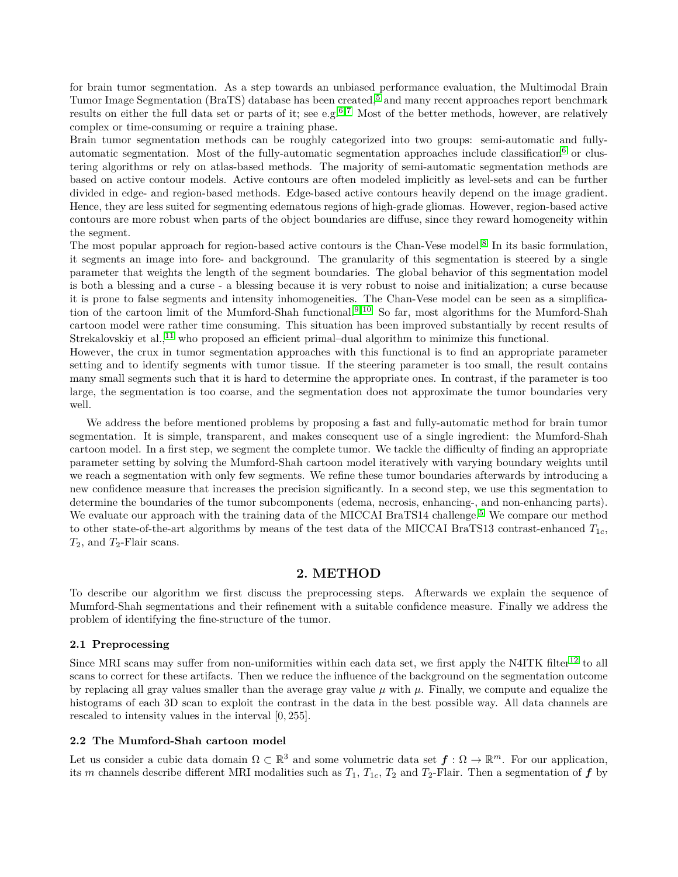for brain tumor segmentation. As a step towards an unbiased performance evaluation, the Multimodal Brain Tumor Image Segmentation (BraTS) database has been created,[5](#page-6-4) and many recent approaches report benchmark results on either the full data set or parts of it; see e.g.<sup>[6,](#page-6-5)7</sup> Most of the better methods, however, are relatively complex or time-consuming or require a training phase.

Brain tumor segmentation methods can be roughly categorized into two groups: semi-automatic and fully-automatic segmentation. Most of the fully-automatic segmentation approaches include classification<sup>[6](#page-6-5)</sup> or clustering algorithms or rely on atlas-based methods. The majority of semi-automatic segmentation methods are based on active contour models. Active contours are often modeled implicitly as level-sets and can be further divided in edge- and region-based methods. Edge-based active contours heavily depend on the image gradient. Hence, they are less suited for segmenting edematous regions of high-grade gliomas. However, region-based active contours are more robust when parts of the object boundaries are diffuse, since they reward homogeneity within the segment.

The most popular approach for region-based active contours is the Chan-Vese model.<sup>[8](#page-6-7)</sup> In its basic formulation, it segments an image into fore- and background. The granularity of this segmentation is steered by a single parameter that weights the length of the segment boundaries. The global behavior of this segmentation model is both a blessing and a curse - a blessing because it is very robust to noise and initialization; a curse because it is prone to false segments and intensity inhomogeneities. The Chan-Vese model can be seen as a simplifica-tion of the cartoon limit of the Mumford-Shah functional.<sup>[9,](#page-6-8) [10](#page-6-9)</sup> So far, most algorithms for the Mumford-Shah cartoon model were rather time consuming. This situation has been improved substantially by recent results of Strekalovskiy et al.,<sup>[11](#page-6-10)</sup> who proposed an efficient primal–dual algorithm to minimize this functional.

However, the crux in tumor segmentation approaches with this functional is to find an appropriate parameter setting and to identify segments with tumor tissue. If the steering parameter is too small, the result contains many small segments such that it is hard to determine the appropriate ones. In contrast, if the parameter is too large, the segmentation is too coarse, and the segmentation does not approximate the tumor boundaries very well.

We address the before mentioned problems by proposing a fast and fully-automatic method for brain tumor segmentation. It is simple, transparent, and makes consequent use of a single ingredient: the Mumford-Shah cartoon model. In a first step, we segment the complete tumor. We tackle the difficulty of finding an appropriate parameter setting by solving the Mumford-Shah cartoon model iteratively with varying boundary weights until we reach a segmentation with only few segments. We refine these tumor boundaries afterwards by introducing a new confidence measure that increases the precision significantly. In a second step, we use this segmentation to determine the boundaries of the tumor subcomponents (edema, necrosis, enhancing-, and non-enhancing parts). We evaluate our approach with the training data of the MICCAI BraTS14 challenge.<sup>[5](#page-6-4)</sup> We compare our method to other state-of-the-art algorithms by means of the test data of the MICCAI BraTS13 contrast-enhanced  $T_{1c}$ , *T*2, and *T*2-Flair scans.

## **2. METHOD**

To describe our algorithm we first discuss the preprocessing steps. Afterwards we explain the sequence of Mumford-Shah segmentations and their refinement with a suitable confidence measure. Finally we address the problem of identifying the fine-structure of the tumor.

#### **2.1 Preprocessing**

Since MRI scans may suffer from non-uniformities within each data set, we first apply the N4ITK filter<sup>[12](#page-6-11)</sup> to all scans to correct for these artifacts. Then we reduce the influence of the background on the segmentation outcome by replacing all gray values smaller than the average gray value  $\mu$  with  $\mu$ . Finally, we compute and equalize the histograms of each 3D scan to exploit the contrast in the data in the best possible way. All data channels are rescaled to intensity values in the interval [0*,* 255].

#### **2.2 The Mumford-Shah cartoon model**

Let us consider a cubic data domain  $\Omega \subset \mathbb{R}^3$  and some volumetric data set  $f: \Omega \to \mathbb{R}^m$ . For our application, its *m* channels describe different MRI modalities such as  $T_1$ ,  $T_1$ <sub>c</sub>,  $T_2$  and  $T_2$ -Flair. Then a segmentation of  $f$  by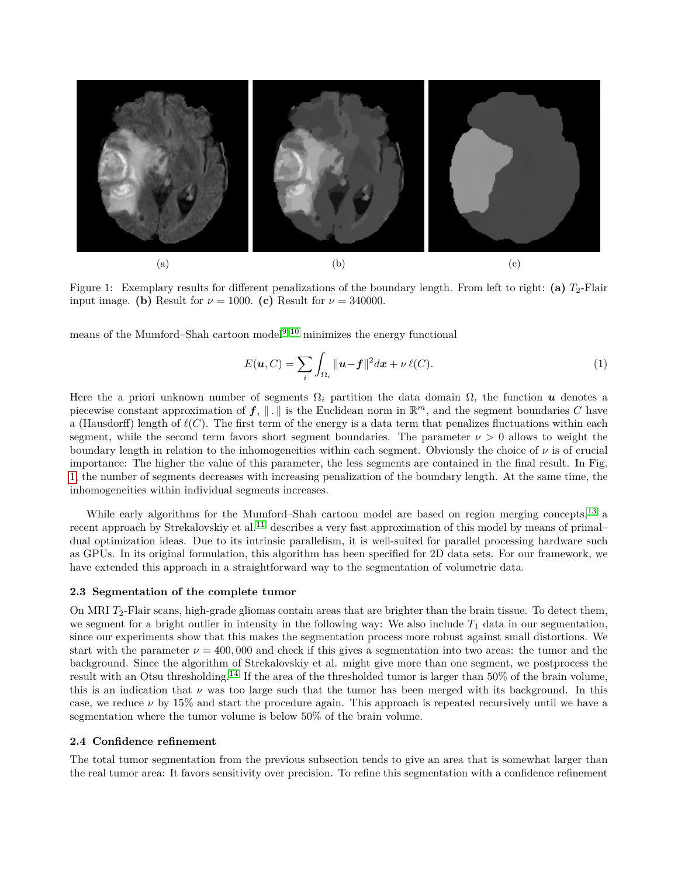<span id="page-2-0"></span>

Figure 1: Exemplary results for different penalizations of the boundary length. From left to right: **(a)**  $T_2$ -Flair input image. **(b)** Result for  $\nu = 1000$ . **(c)** Result for  $\nu = 340000$ .

means of the Mumford–Shah cartoon model<sup>[9,](#page-6-8) [10](#page-6-9)</sup> minimizes the energy functional

<span id="page-2-1"></span>
$$
E(\mathbf{u}, C) = \sum_{i} \int_{\Omega_i} ||\mathbf{u} - \mathbf{f}||^2 d\mathbf{x} + \nu \,\ell(C). \tag{1}
$$

Here the a priori unknown number of segments  $\Omega_i$  partition the data domain  $\Omega$ , the function u denotes a piecewise constant approximation of  $f$ ,  $\|\cdot\|$  is the Euclidean norm in  $\mathbb{R}^m$ , and the segment boundaries C have a (Hausdorff) length of  $\ell(C)$ . The first term of the energy is a data term that penalizes fluctuations within each segment, while the second term favors short segment boundaries. The parameter  $\nu > 0$  allows to weight the boundary length in relation to the inhomogeneities within each segment. Obviously the choice of *ν* is of crucial importance: The higher the value of this parameter, the less segments are contained in the final result. In Fig. [1,](#page-2-0) the number of segments decreases with increasing penalization of the boundary length. At the same time, the inhomogeneities within individual segments increases.

While early algorithms for the Mumford–Shah cartoon model are based on region merging concepts,<sup>[13](#page-6-12)</sup> a recent approach by Strekalovskiy et al.<sup>[11](#page-6-10)</sup> describes a very fast approximation of this model by means of primal– dual optimization ideas. Due to its intrinsic parallelism, it is well-suited for parallel processing hardware such as GPUs. In its original formulation, this algorithm has been specified for 2D data sets. For our framework, we have extended this approach in a straightforward way to the segmentation of volumetric data.

#### **2.3 Segmentation of the complete tumor**

On MRI *T*2-Flair scans, high-grade gliomas contain areas that are brighter than the brain tissue. To detect them, we segment for a bright outlier in intensity in the following way: We also include  $T_1$  data in our segmentation, since our experiments show that this makes the segmentation process more robust against small distortions. We start with the parameter  $\nu = 400,000$  and check if this gives a segmentation into two areas: the tumor and the background. Since the algorithm of Strekalovskiy et al. might give more than one segment, we postprocess the result with an Otsu thresholding.[14](#page-6-13) If the area of the thresholded tumor is larger than 50% of the brain volume, this is an indication that  $\nu$  was too large such that the tumor has been merged with its background. In this case, we reduce *ν* by 15% and start the procedure again. This approach is repeated recursively until we have a segmentation where the tumor volume is below 50% of the brain volume.

#### **2.4 Confidence refinement**

The total tumor segmentation from the previous subsection tends to give an area that is somewhat larger than the real tumor area: It favors sensitivity over precision. To refine this segmentation with a confidence refinement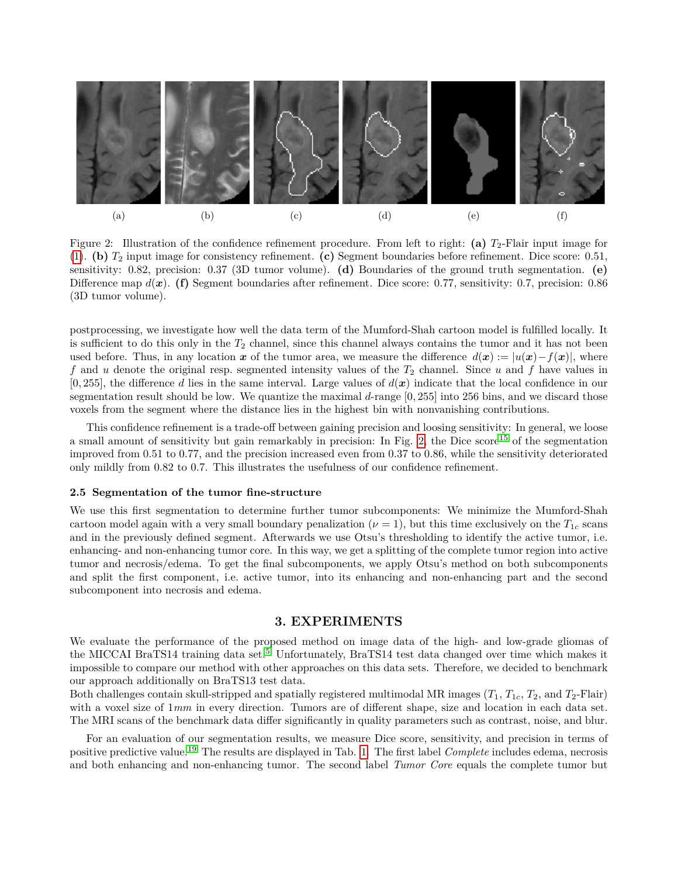<span id="page-3-0"></span>

Figure 2: Illustration of the confidence refinement procedure. From left to right: **(a)** *T*2-Flair input image for [\(1\)](#page-2-1). **(b)** *T*<sup>2</sup> input image for consistency refinement. **(c)** Segment boundaries before refinement. Dice score: 0*.*51, sensitivity: 0*.*82, precision: 0*.*37 (3D tumor volume). **(d)** Boundaries of the ground truth segmentation. **(e)** Difference map  $d(x)$ . **(f)** Segment boundaries after refinement. Dice score: 0.77, sensitivity: 0.7, precision: 0.86 (3D tumor volume).

postprocessing, we investigate how well the data term of the Mumford-Shah cartoon model is fulfilled locally. It is sufficient to do this only in the  $T_2$  channel, since this channel always contains the tumor and it has not been used before. Thus, in any location x of the tumor area, we measure the difference  $d(x) := |u(x) - f(x)|$ , where f and *u* denote the original resp. segmented intensity values of the  $T_2$  channel. Since *u* and f have values in  $[0, 255]$ , the difference *d* lies in the same interval. Large values of  $d(\boldsymbol{x})$  indicate that the local confidence in our segmentation result should be low. We quantize the maximal *d*-range [0*,* 255] into 256 bins, and we discard those voxels from the segment where the distance lies in the highest bin with nonvanishing contributions.

This confidence refinement is a trade-off between gaining precision and loosing sensitivity: In general, we loose a small amount of sensitivity but gain remarkably in precision: In Fig. [2,](#page-3-0) the Dice score<sup>[15](#page-6-14)</sup> of the segmentation improved from 0*.*51 to 0*.*77, and the precision increased even from 0*.*37 to 0*.*86, while the sensitivity deteriorated only mildly from 0*.*82 to 0*.*7. This illustrates the usefulness of our confidence refinement.

#### **2.5 Segmentation of the tumor fine-structure**

We use this first segmentation to determine further tumor subcomponents: We minimize the Mumford-Shah cartoon model again with a very small boundary penalization  $(\nu = 1)$ , but this time exclusively on the  $T_{1c}$  scans and in the previously defined segment. Afterwards we use Otsu's thresholding to identify the active tumor, i.e. enhancing- and non-enhancing tumor core. In this way, we get a splitting of the complete tumor region into active tumor and necrosis/edema. To get the final subcomponents, we apply Otsu's method on both subcomponents and split the first component, i.e. active tumor, into its enhancing and non-enhancing part and the second subcomponent into necrosis and edema.

## **3. EXPERIMENTS**

We evaluate the performance of the proposed method on image data of the high- and low-grade gliomas of the MICCAI BraTS14 training data set.<sup>[5](#page-6-4)</sup> Unfortunately, BraTS14 test data changed over time which makes it impossible to compare our method with other approaches on this data sets. Therefore, we decided to benchmark our approach additionally on BraTS13 test data.

Both challenges contain skull-stripped and spatially registered multimodal MR images  $(T_1, T_1, T_2, T_2, T_1)$  and  $T_2$ -Flair) with a voxel size of  $1mm$  in every direction. Tumors are of different shape, size and location in each data set. The MRI scans of the benchmark data differ significantly in quality parameters such as contrast, noise, and blur.

For an evaluation of our segmentation results, we measure Dice score, sensitivity, and precision in terms of positive predictive value.[19](#page-6-15) The results are displayed in Tab. [1.](#page-4-0) The first label *Complete* includes edema, necrosis and both enhancing and non-enhancing tumor. The second label *Tumor Core* equals the complete tumor but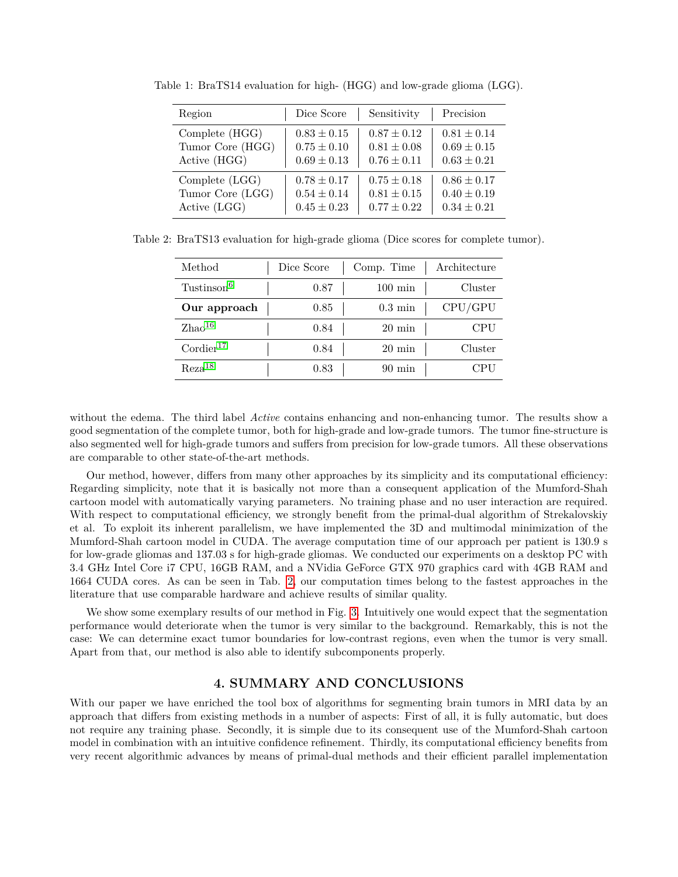| Region           | Dice Score      | Sensitivity     | Precision       |
|------------------|-----------------|-----------------|-----------------|
| Complete (HGG)   | $0.83 \pm 0.15$ | $0.87 \pm 0.12$ | $0.81 \pm 0.14$ |
| Tumor Core (HGG) | $0.75 \pm 0.10$ | $0.81 \pm 0.08$ | $0.69 \pm 0.15$ |
| Active (HGG)     | $0.69 \pm 0.13$ | $0.76 \pm 0.11$ | $0.63 \pm 0.21$ |
| Complete (LGG)   | $0.78 \pm 0.17$ | $0.75 \pm 0.18$ | $0.86 \pm 0.17$ |
| Tumor Core (LGG) | $0.54 \pm 0.14$ | $0.81 \pm 0.15$ | $0.40 \pm 0.19$ |
| Active (LGG)     | $0.45 \pm 0.23$ | $0.77 \pm 0.22$ | $0.34 \pm 0.21$ |

<span id="page-4-0"></span>Table 1: BraTS14 evaluation for high- (HGG) and low-grade glioma (LGG).

<span id="page-4-1"></span>Table 2: BraTS13 evaluation for high-grade glioma (Dice scores for complete tumor).

| Method                  | Dice Score | Comp. Time        | Architecture |
|-------------------------|------------|-------------------|--------------|
| Tustinson <sup>6</sup>  | 0.87       | $100 \text{ min}$ | Cluster      |
| Our approach            | 0.85       | $0.3 \text{ min}$ | CPU/GPU      |
| Zhao <sup>16</sup>      | 0.84       | $20 \text{ min}$  | CPU          |
| $\mathrm{Cordier}^{17}$ | 0.84       | $20~\mathrm{min}$ | Cluster      |
| Reza <sup>18</sup>      | 0.83       | $90 \text{ min}$  | ∷PU          |

without the edema. The third label *Active* contains enhancing and non-enhancing tumor. The results show a good segmentation of the complete tumor, both for high-grade and low-grade tumors. The tumor fine-structure is also segmented well for high-grade tumors and suffers from precision for low-grade tumors. All these observations are comparable to other state-of-the-art methods.

Our method, however, differs from many other approaches by its simplicity and its computational efficiency: Regarding simplicity, note that it is basically not more than a consequent application of the Mumford-Shah cartoon model with automatically varying parameters. No training phase and no user interaction are required. With respect to computational efficiency, we strongly benefit from the primal-dual algorithm of Strekalovskiy et al. To exploit its inherent parallelism, we have implemented the 3D and multimodal minimization of the Mumford-Shah cartoon model in CUDA. The average computation time of our approach per patient is 130*.*9 s for low-grade gliomas and 137*.*03 s for high-grade gliomas. We conducted our experiments on a desktop PC with 3.4 GHz Intel Core i7 CPU, 16GB RAM, and a NVidia GeForce GTX 970 graphics card with 4GB RAM and 1664 CUDA cores. As can be seen in Tab. [2,](#page-4-1) our computation times belong to the fastest approaches in the literature that use comparable hardware and achieve results of similar quality.

We show some exemplary results of our method in Fig. [3.](#page-5-0) Intuitively one would expect that the segmentation performance would deteriorate when the tumor is very similar to the background. Remarkably, this is not the case: We can determine exact tumor boundaries for low-contrast regions, even when the tumor is very small. Apart from that, our method is also able to identify subcomponents properly.

## **4. SUMMARY AND CONCLUSIONS**

With our paper we have enriched the tool box of algorithms for segmenting brain tumors in MRI data by an approach that differs from existing methods in a number of aspects: First of all, it is fully automatic, but does not require any training phase. Secondly, it is simple due to its consequent use of the Mumford-Shah cartoon model in combination with an intuitive confidence refinement. Thirdly, its computational efficiency benefits from very recent algorithmic advances by means of primal-dual methods and their efficient parallel implementation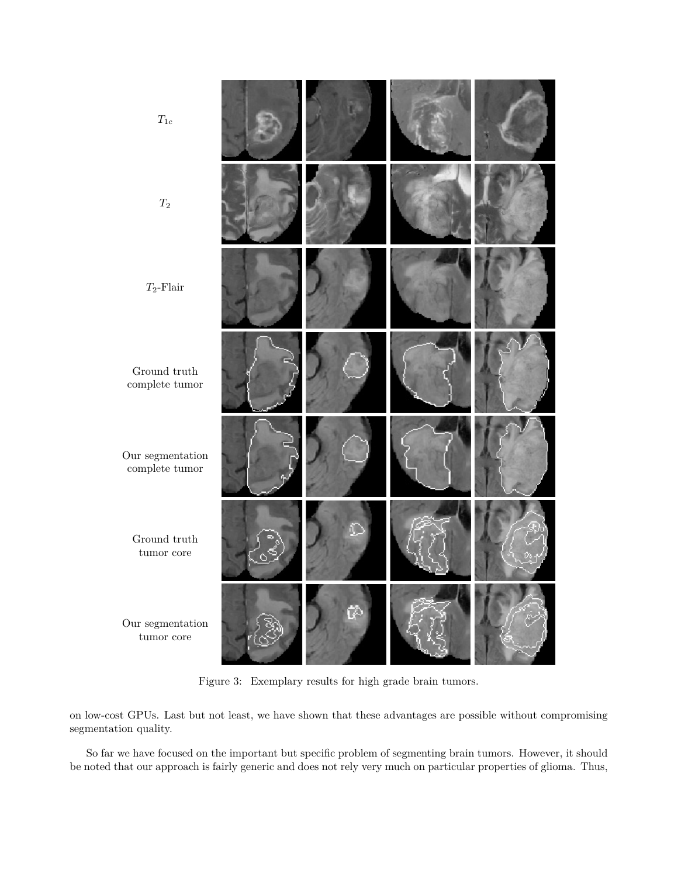<span id="page-5-0"></span>

| $\mathcal{T}_{1c}$                               |  |  |
|--------------------------------------------------|--|--|
| $\mathcal{T}_2$                                  |  |  |
| $T_2\text{-Flair}$                               |  |  |
| Ground $\mbox{truth}$<br>$\mbox{complete tumor}$ |  |  |
| Our segmentation<br>$\mbox{complete tumor}$      |  |  |
| Ground $\mbox{truth}$<br>$t$ umor $\,$ core      |  |  |
| Our segmentation<br>$t$ umor $\,$ core           |  |  |

Figure 3: Exemplary results for high grade brain tumors.

on low-cost GPUs. Last but not least, we have shown that these advantages are possible without compromising segmentation quality.

So far we have focused on the important but specific problem of segmenting brain tumors. However, it should be noted that our approach is fairly generic and does not rely very much on particular properties of glioma. Thus,